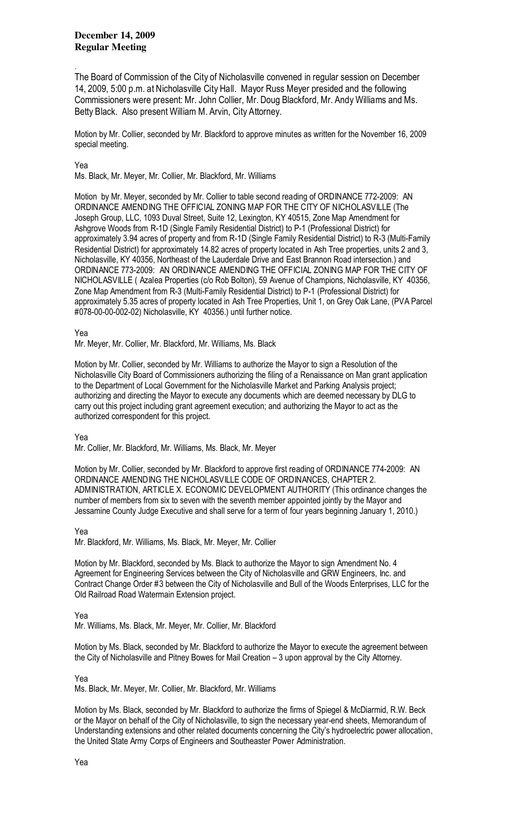**December 14, 2009 Regular Meeting** 

The Board of Commission of the City of Nicholasville convened in regular session on December 14, 2009, 5:00 p.m. at Nicholasville City Hall. Mayor Russ Meyer presided and the following Commissioners were present: Mr. John Collier, Mr. Doug Blackford, Mr. Andy Williams and Ms. Betty Black. Also present William M. Arvin, City Attorney.

Motion by Mr. Collier, seconded by Mr. Blackford to approve minutes as written for the November 16, 2009 special meeting.

## Yea

.

Ms. Black, Mr. Meyer, Mr. Collier, Mr. Blackford, Mr. Williams

Motion by Mr. Meyer, seconded by Mr. Collier to table second reading of ORDINANCE 772-2009: AN ORDINANCE AMENDING THE OFFICIAL ZONING MAP FOR THE CITY OF NICHOLASVILLE (The Joseph Group, LLC, 1093 Duval Street, Suite 12, Lexington, KY 40515, Zone Map Amendment for Ashgrove Woods from R-1D (Single Family Residential District) to P-1 (Professional District) for approximately 3.94 acres of property and from R-1D (Single Family Residential District) to R-3 (Multi-Family Residential District) for approximately 14.82 acres of property located in Ash Tree properties, units 2 and 3, Nicholasville, KY 40356, Northeast of the Lauderdale Drive and East Brannon Road intersection.) and ORDINANCE 773-2009: AN ORDINANCE AMENDING THE OFFICIAL ZONING MAP FOR THE CITY OF NICHOLASVILLE ( Azalea Properties (c/o Rob Bolton), 59 Avenue of Champions, Nicholasville, KY 40356, Zone Map Amendment from R-3 (Multi-Family Residential District) to P-1 (Professional District) for approximately 5.35 acres of property located in Ash Tree Properties, Unit 1, on Grey Oak Lane, (PVA Parcel #078-00-00-002-02) Nicholasville, KY 40356.) until further notice.

## Yea

Mr. Meyer, Mr. Collier, Mr. Blackford, Mr. Williams, Ms. Black

Motion by Mr. Collier, seconded by Mr. Williams to authorize the Mayor to sign a Resolution of the Nicholasville City Board of Commissioners authorizing the filing of a Renaissance on Man grant application to the Department of Local Government for the Nicholasville Market and Parking Analysis project; authorizing and directing the Mayor to execute any documents which are deemed necessary by DLG to carry out this project including grant agreement execution; and authorizing the Mayor to act as the authorized correspondent for this project.

Yea

Mr. Collier, Mr. Blackford, Mr. Williams, Ms. Black, Mr. Meyer

Motion by Mr. Collier, seconded by Mr. Blackford to approve first reading of ORDINANCE 774-2009: AN ORDINANCE AMENDING THE NICHOLASVILLE CODE OF ORDINANCES, CHAPTER 2. ADMINISTRATION, ARTICLE X. ECONOMIC DEVELOPMENT AUTHORITY (This ordinance changes the number of members from six to seven with the seventh member appointed jointly by the Mayor and Jessamine County Judge Executive and shall serve for a term of four years beginning January 1, 2010.)

## Yea

Mr. Blackford, Mr. Williams, Ms. Black, Mr. Meyer, Mr. Collier

Motion by Mr. Blackford, seconded by Ms. Black to authorize the Mayor to sign Amendment No. 4 Agreement for Engineering Services between the City of Nicholasville and GRW Engineers, Inc. and Contract Change Order #3 between the City of Nicholasville and Bull of the Woods Enterprises, LLC for the Old Railroad Road Watermain Extension project.

Yea

Mr. Williams, Ms. Black, Mr. Meyer, Mr. Collier, Mr. Blackford

Motion by Ms. Black, seconded by Mr. Blackford to authorize the Mayor to execute the agreement between the City of Nicholasville and Pitney Bowes for Mail Creation – 3 upon approval by the City Attorney.

Yea

Ms. Black, Mr. Meyer, Mr. Collier, Mr. Blackford, Mr. Williams

Motion by Ms. Black, seconded by Mr. Blackford to authorize the firms of Spiegel & McDiarmid, R.W. Beck or the Mayor on behalf of the City of Nicholasville, to sign the necessary year-end sheets, Memorandum of Understanding extensions and other related documents concerning the City's hydroelectric power allocation, the United State Army Corps of Engineers and Southeaster Power Administration.